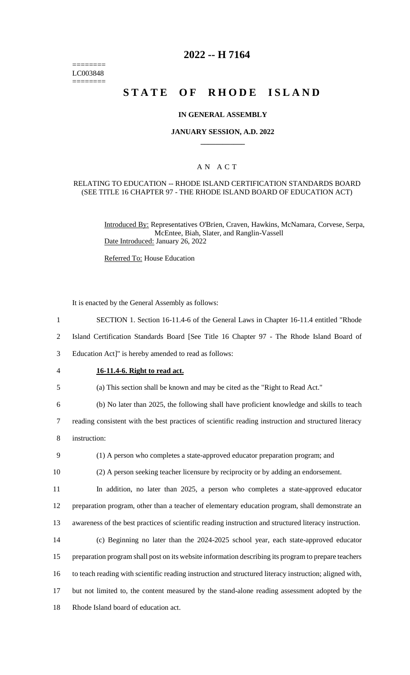======== LC003848  $=$ 

## **2022 -- H 7164**

# **STATE OF RHODE ISLAND**

#### **IN GENERAL ASSEMBLY**

## **JANUARY SESSION, A.D. 2022 \_\_\_\_\_\_\_\_\_\_\_\_**

### A N A C T

#### RELATING TO EDUCATION -- RHODE ISLAND CERTIFICATION STANDARDS BOARD (SEE TITLE 16 CHAPTER 97 - THE RHODE ISLAND BOARD OF EDUCATION ACT)

Introduced By: Representatives O'Brien, Craven, Hawkins, McNamara, Corvese, Serpa, McEntee, Biah, Slater, and Ranglin-Vassell Date Introduced: January 26, 2022

Referred To: House Education

It is enacted by the General Assembly as follows:

| $\mathbf{1}$   | SECTION 1. Section 16-11.4-6 of the General Laws in Chapter 16-11.4 entitled "Rhode                     |
|----------------|---------------------------------------------------------------------------------------------------------|
| $\overline{2}$ | Island Certification Standards Board [See Title 16 Chapter 97 - The Rhode Island Board of               |
| 3              | Education Act]" is hereby amended to read as follows:                                                   |
| 4              | 16-11.4-6. Right to read act.                                                                           |
| 5              | (a) This section shall be known and may be cited as the "Right to Read Act."                            |
| 6              | (b) No later than 2025, the following shall have proficient knowledge and skills to teach               |
| $\tau$         | reading consistent with the best practices of scientific reading instruction and structured literacy    |
| 8              | instruction:                                                                                            |
| 9              | (1) A person who completes a state-approved educator preparation program; and                           |
| 10             | (2) A person seeking teacher licensure by reciprocity or by adding an endorsement.                      |
| 11             | In addition, no later than 2025, a person who completes a state-approved educator                       |
| 12             | preparation program, other than a teacher of elementary education program, shall demonstrate an         |
| 13             | awareness of the best practices of scientific reading instruction and structured literacy instruction.  |
| 14             | (c) Beginning no later than the 2024-2025 school year, each state-approved educator                     |
| 15             | preparation program shall post on its website information describing its program to prepare teachers    |
| 16             | to teach reading with scientific reading instruction and structured literacy instruction; aligned with, |
| 17             | but not limited to, the content measured by the stand-alone reading assessment adopted by the           |
| 18             | Rhode Island board of education act.                                                                    |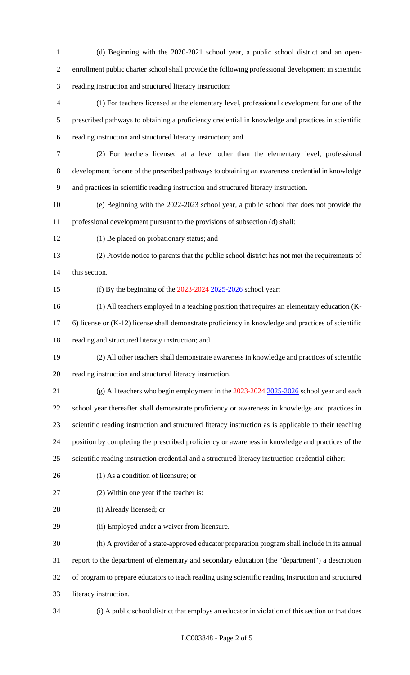- (d) Beginning with the 2020-2021 school year, a public school district and an open- enrollment public charter school shall provide the following professional development in scientific reading instruction and structured literacy instruction:
- (1) For teachers licensed at the elementary level, professional development for one of the prescribed pathways to obtaining a proficiency credential in knowledge and practices in scientific reading instruction and structured literacy instruction; and
- (2) For teachers licensed at a level other than the elementary level, professional development for one of the prescribed pathways to obtaining an awareness credential in knowledge and practices in scientific reading instruction and structured literacy instruction.
- (e) Beginning with the 2022-2023 school year, a public school that does not provide the professional development pursuant to the provisions of subsection (d) shall:
- (1) Be placed on probationary status; and
- (2) Provide notice to parents that the public school district has not met the requirements of this section.

- 15 (f) By the beginning of the  $\frac{2023-2024}{2025-2026}$  school year:
- (1) All teachers employed in a teaching position that requires an elementary education (K-
- 6) license or (K-12) license shall demonstrate proficiency in knowledge and practices of scientific reading and structured literacy instruction; and
- (2) All other teachers shall demonstrate awareness in knowledge and practices of scientific
- reading instruction and structured literacy instruction.
- 21 (g) All teachers who begin employment in the 2023-2024 2025-2026 school year and each
- school year thereafter shall demonstrate proficiency or awareness in knowledge and practices in
- scientific reading instruction and structured literacy instruction as is applicable to their teaching
- position by completing the prescribed proficiency or awareness in knowledge and practices of the
- scientific reading instruction credential and a structured literacy instruction credential either:
- 
- (1) As a condition of licensure; or
- (2) Within one year if the teacher is:
- (i) Already licensed; or
- (ii) Employed under a waiver from licensure.

 (h) A provider of a state-approved educator preparation program shall include in its annual report to the department of elementary and secondary education (the "department") a description of program to prepare educators to teach reading using scientific reading instruction and structured literacy instruction.

(i) A public school district that employs an educator in violation of this section or that does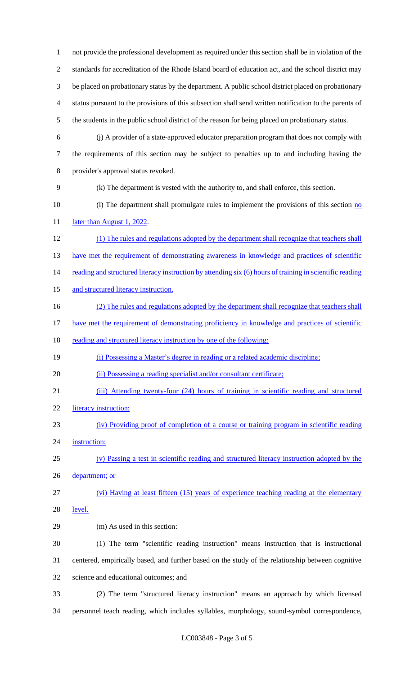not provide the professional development as required under this section shall be in violation of the standards for accreditation of the Rhode Island board of education act, and the school district may be placed on probationary status by the department. A public school district placed on probationary status pursuant to the provisions of this subsection shall send written notification to the parents of the students in the public school district of the reason for being placed on probationary status. (j) A provider of a state-approved educator preparation program that does not comply with the requirements of this section may be subject to penalties up to and including having the provider's approval status revoked. (k) The department is vested with the authority to, and shall enforce, this section. 10 (l) The department shall promulgate rules to implement the provisions of this section no 11 later than August 1, 2022. (1) The rules and regulations adopted by the department shall recognize that teachers shall 13 have met the requirement of demonstrating awareness in knowledge and practices of scientific reading and structured literacy instruction by attending six (6) hours of training in scientific reading and structured literacy instruction. 16 (2) The rules and regulations adopted by the department shall recognize that teachers shall 17 have met the requirement of demonstrating proficiency in knowledge and practices of scientific 18 reading and structured literacy instruction by one of the following: (i) Possessing a Master's degree in reading or a related academic discipline; 20 (ii) Possessing a reading specialist and/or consultant certificate; (iii) Attending twenty-four (24) hours of training in scientific reading and structured 22 literacy instruction; (iv) Providing proof of completion of a course or training program in scientific reading 24 instruction; (v) Passing a test in scientific reading and structured literacy instruction adopted by the department; or (vi) Having at least fifteen (15) years of experience teaching reading at the elementary level. (m) As used in this section: (1) The term "scientific reading instruction" means instruction that is instructional centered, empirically based, and further based on the study of the relationship between cognitive science and educational outcomes; and (2) The term "structured literacy instruction" means an approach by which licensed personnel teach reading, which includes syllables, morphology, sound-symbol correspondence,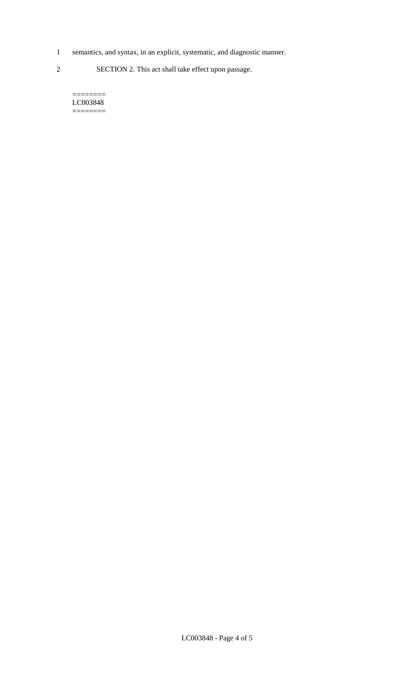- 1 semantics, and syntax, in an explicit, systematic, and diagnostic manner.
- 2 SECTION 2. This act shall take effect upon passage.

======== LC003848  $=$ 

LC003848 - Page 4 of 5